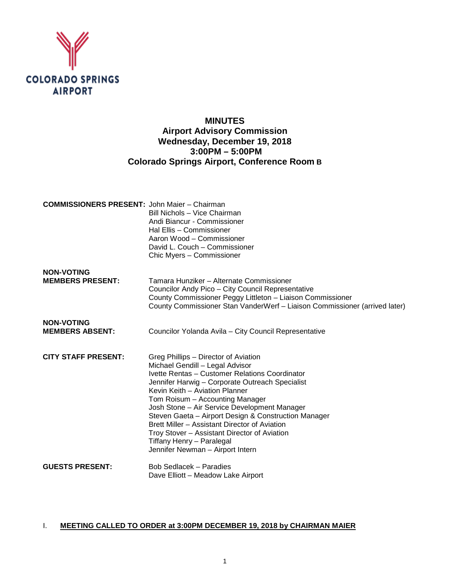

# **MINUTES Airport Advisory Commission Wednesday, December 19, 2018 3:00PM – 5:00PM Colorado Springs Airport, Conference Room B**

| <b>COMMISSIONERS PRESENT: John Maier - Chairman</b> | Bill Nichols - Vice Chairman<br>Andi Biancur - Commissioner<br>Hal Ellis - Commissioner<br>Aaron Wood - Commissioner<br>David L. Couch - Commissioner<br>Chic Myers - Commissioner                                                                                                                                                                                                                                                                                                                                          |
|-----------------------------------------------------|-----------------------------------------------------------------------------------------------------------------------------------------------------------------------------------------------------------------------------------------------------------------------------------------------------------------------------------------------------------------------------------------------------------------------------------------------------------------------------------------------------------------------------|
| <b>NON-VOTING</b><br><b>MEMBERS PRESENT:</b>        | Tamara Hunziker - Alternate Commissioner<br>Councilor Andy Pico - City Council Representative<br>County Commissioner Peggy Littleton - Liaison Commissioner<br>County Commissioner Stan VanderWerf - Liaison Commissioner (arrived later)                                                                                                                                                                                                                                                                                   |
| <b>NON-VOTING</b><br><b>MEMBERS ABSENT:</b>         | Councilor Yolanda Avila - City Council Representative                                                                                                                                                                                                                                                                                                                                                                                                                                                                       |
| <b>CITY STAFF PRESENT:</b>                          | Greg Phillips – Director of Aviation<br>Michael Gendill - Legal Advisor<br>Ivette Rentas - Customer Relations Coordinator<br>Jennifer Harwig - Corporate Outreach Specialist<br>Kevin Keith - Aviation Planner<br>Tom Roisum - Accounting Manager<br>Josh Stone - Air Service Development Manager<br>Steven Gaeta - Airport Design & Construction Manager<br>Brett Miller - Assistant Director of Aviation<br>Troy Stover - Assistant Director of Aviation<br>Tiffany Henry - Paralegal<br>Jennifer Newman - Airport Intern |
| <b>GUESTS PRESENT:</b>                              | <b>Bob Sedlacek - Paradies</b><br>Dave Elliott - Meadow Lake Airport                                                                                                                                                                                                                                                                                                                                                                                                                                                        |

# I. **MEETING CALLED TO ORDER at 3:00PM DECEMBER 19, 2018 by CHAIRMAN MAIER**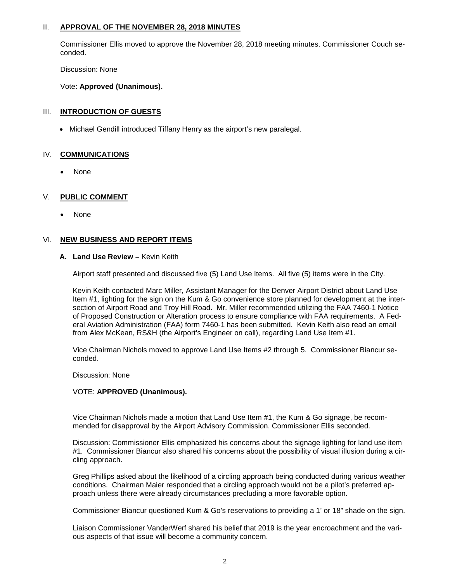### II. **APPROVAL OF THE NOVEMBER 28, 2018 MINUTES**

Commissioner Ellis moved to approve the November 28, 2018 meeting minutes. Commissioner Couch seconded.

Discussion: None

Vote: **Approved (Unanimous).** 

### III. **INTRODUCTION OF GUESTS**

• Michael Gendill introduced Tiffany Henry as the airport's new paralegal.

### IV. **COMMUNICATIONS**

• None

### V. **PUBLIC COMMENT**

• None

### VI. **NEW BUSINESS AND REPORT ITEMS**

### **A. Land Use Review –** Kevin Keith

Airport staff presented and discussed five (5) Land Use Items. All five (5) items were in the City.

Kevin Keith contacted Marc Miller, Assistant Manager for the Denver Airport District about Land Use Item #1, lighting for the sign on the Kum & Go convenience store planned for development at the intersection of Airport Road and Troy Hill Road. Mr. Miller recommended utilizing the FAA 7460-1 Notice of Proposed Construction or Alteration process to ensure compliance with FAA requirements. A Federal Aviation Administration (FAA) form 7460-1 has been submitted. Kevin Keith also read an email from Alex McKean, RS&H (the Airport's Engineer on call), regarding Land Use Item #1.

Vice Chairman Nichols moved to approve Land Use Items #2 through 5. Commissioner Biancur seconded.

Discussion: None

### VOTE: **APPROVED (Unanimous).**

Vice Chairman Nichols made a motion that Land Use Item #1, the Kum & Go signage, be recommended for disapproval by the Airport Advisory Commission. Commissioner Ellis seconded.

Discussion: Commissioner Ellis emphasized his concerns about the signage lighting for land use item #1. Commissioner Biancur also shared his concerns about the possibility of visual illusion during a circling approach.

Greg Phillips asked about the likelihood of a circling approach being conducted during various weather conditions. Chairman Maier responded that a circling approach would not be a pilot's preferred approach unless there were already circumstances precluding a more favorable option.

Commissioner Biancur questioned Kum & Go's reservations to providing a 1' or 18" shade on the sign.

Liaison Commissioner VanderWerf shared his belief that 2019 is the year encroachment and the various aspects of that issue will become a community concern.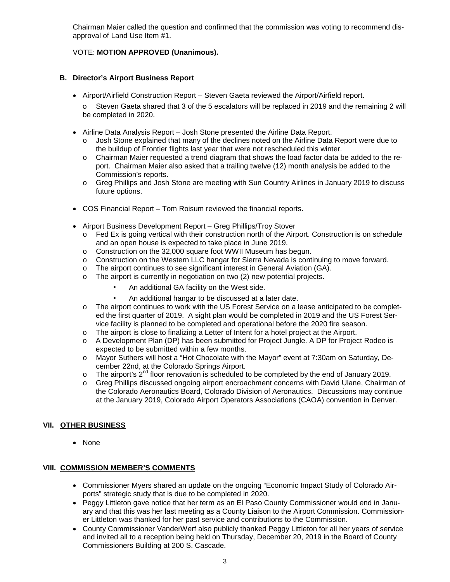Chairman Maier called the question and confirmed that the commission was voting to recommend disapproval of Land Use Item #1.

# VOTE: **MOTION APPROVED (Unanimous).**

### **B. Director's Airport Business Report**

- Airport/Airfield Construction Report Steven Gaeta reviewed the Airport/Airfield report. o Steven Gaeta shared that 3 of the 5 escalators will be replaced in 2019 and the remaining 2 will be completed in 2020.
- Airline Data Analysis Report Josh Stone presented the Airline Data Report.
	- o Josh Stone explained that many of the declines noted on the Airline Data Report were due to the buildup of Frontier flights last year that were not rescheduled this winter.
	- o Chairman Maier requested a trend diagram that shows the load factor data be added to the report. Chairman Maier also asked that a trailing twelve (12) month analysis be added to the Commission's reports.
	- o Greg Phillips and Josh Stone are meeting with Sun Country Airlines in January 2019 to discuss future options.
- COS Financial Report Tom Roisum reviewed the financial reports.
- Airport Business Development Report Greg Phillips/Troy Stover
	- o Fed Ex is going vertical with their construction north of the Airport. Construction is on schedule and an open house is expected to take place in June 2019.
	- o Construction on the 32,000 square foot WWII Museum has begun.
	- o Construction on the Western LLC hangar for Sierra Nevada is continuing to move forward.
	- o The airport continues to see significant interest in General Aviation (GA).
	- o The airport is currently in negotiation on two (2) new potential projects.
		- An additional GA facility on the West side.
		- An additional hangar to be discussed at a later date.
	- o The airport continues to work with the US Forest Service on a lease anticipated to be completed the first quarter of 2019. A sight plan would be completed in 2019 and the US Forest Service facility is planned to be completed and operational before the 2020 fire season.
	- o The airport is close to finalizing a Letter of Intent for a hotel project at the Airport.
	- o A Development Plan (DP) has been submitted for Project Jungle. A DP for Project Rodeo is expected to be submitted within a few months.
	- o Mayor Suthers will host a "Hot Chocolate with the Mayor" event at 7:30am on Saturday, December 22nd, at the Colorado Springs Airport.
	- $\circ$  The airport's 2<sup>nd</sup> floor renovation is scheduled to be completed by the end of January 2019.
	- o Greg Phillips discussed ongoing airport encroachment concerns with David Ulane, Chairman of the Colorado Aeronautics Board, Colorado Division of Aeronautics. Discussions may continue at the January 2019, Colorado Airport Operators Associations (CAOA) convention in Denver.

## **VII. OTHER BUSINESS**

• None

### **VIII. COMMISSION MEMBER'S COMMENTS**

- Commissioner Myers shared an update on the ongoing "Economic Impact Study of Colorado Airports" strategic study that is due to be completed in 2020.
- Peggy Littleton gave notice that her term as an El Paso County Commissioner would end in January and that this was her last meeting as a County Liaison to the Airport Commission. Commissioner Littleton was thanked for her past service and contributions to the Commission.
- County Commissioner VanderWerf also publicly thanked Peggy Littleton for all her years of service and invited all to a reception being held on Thursday, December 20, 2019 in the Board of County Commissioners Building at 200 S. Cascade.